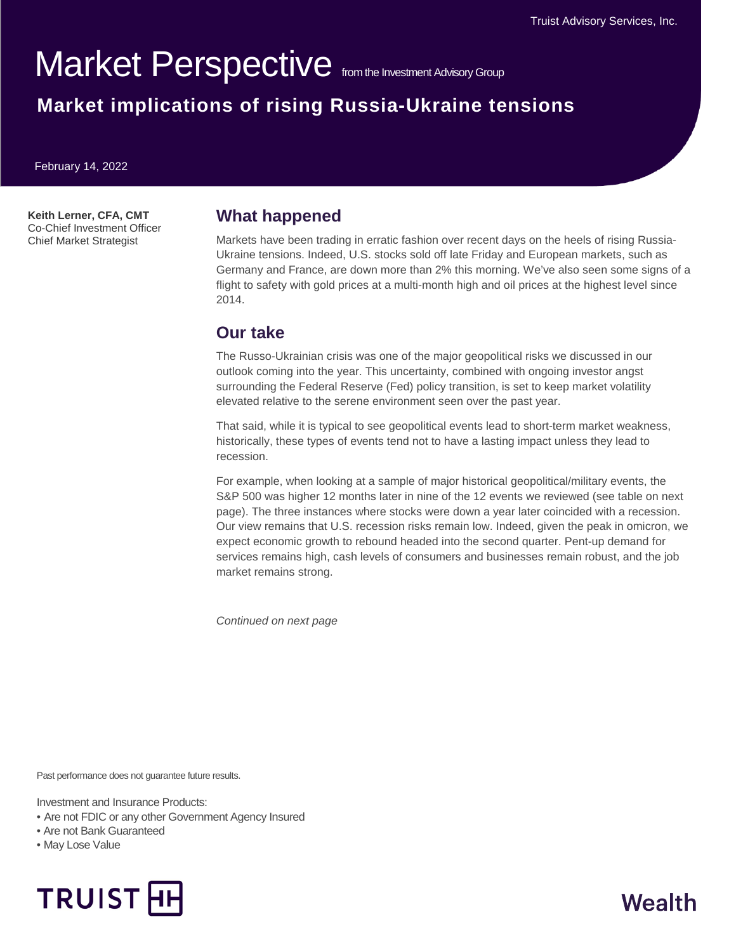# Market Perspective from the Investment Advisory Group

## **Market implications of rising Russia-Ukraine tensions**

February 14, 2022

**Keith Lerner, CFA, CMT** Co-Chief Investment Officer Chief Market Strategist

#### **What happened**

Markets have been trading in erratic fashion over recent days on the heels of rising Russia-Ukraine tensions. Indeed, U.S. stocks sold off late Friday and European markets, such as Germany and France, are down more than 2% this morning. We've also seen some signs of a flight to safety with gold prices at a multi-month high and oil prices at the highest level since 2014.

#### **Our take**

The Russo-Ukrainian crisis was one of the major geopolitical risks we discussed in our outlook coming into the year. This uncertainty, combined with ongoing investor angst surrounding the Federal Reserve (Fed) policy transition, is set to keep market volatility elevated relative to the serene environment seen over the past year.

That said, while it is typical to see geopolitical events lead to short-term market weakness, historically, these types of events tend not to have a lasting impact unless they lead to recession.

For example, when looking at a sample of major historical geopolitical/military events, the S&P 500 was higher 12 months later in nine of the 12 events we reviewed (see table on next page). The three instances where stocks were down a year later coincided with a recession. Our view remains that U.S. recession risks remain low. Indeed, given the peak in omicron, we expect economic growth to rebound headed into the second quarter. Pent-up demand for services remains high, cash levels of consumers and businesses remain robust, and the job market remains strong.

*Continued on next page*

Past performance does not guarantee future results.

Investment and Insurance Products:

- Are not FDIC or any other Government Agency Insured
- Are not Bank Guaranteed
- May Lose Value



# Wealth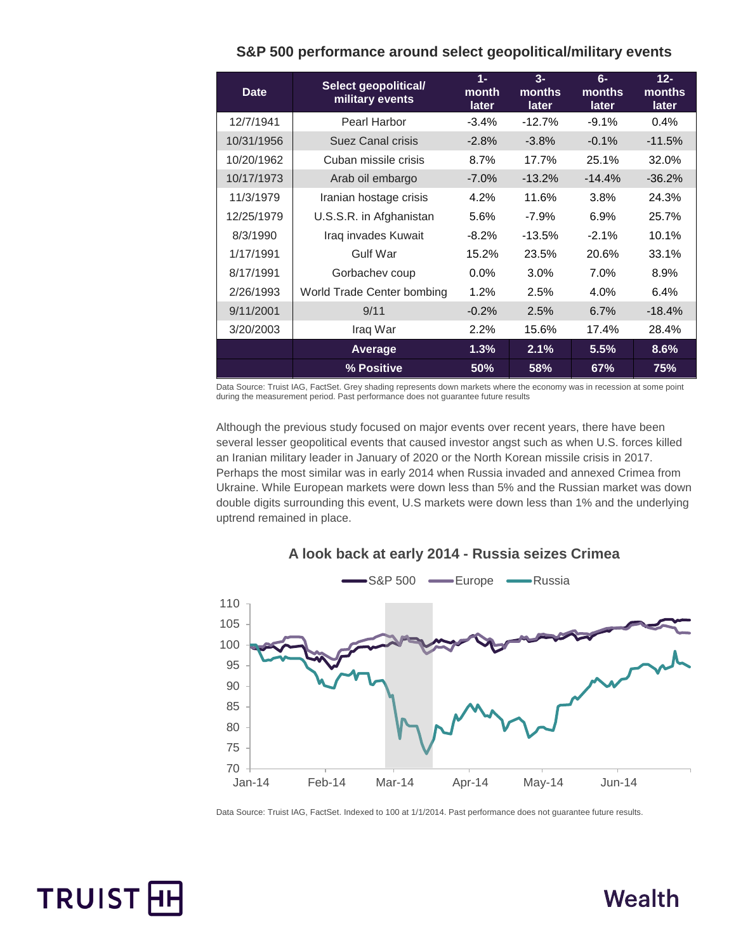| <b>Date</b> | Select geopolitical/<br>military events | $1 -$<br>month<br>later | $3-$<br>months<br>later | $6-$<br><b>months</b><br>later | $12 -$<br>months<br>later |
|-------------|-----------------------------------------|-------------------------|-------------------------|--------------------------------|---------------------------|
| 12/7/1941   | Pearl Harbor                            | $-3.4%$                 | $-12.7%$                | $-9.1%$                        | 0.4%                      |
| 10/31/1956  | Suez Canal crisis                       | $-2.8\%$                | $-3.8\%$                | $-0.1%$                        | $-11.5%$                  |
| 10/20/1962  | Cuban missile crisis                    | 8.7%                    | 17.7%                   | 25.1%                          | 32.0%                     |
| 10/17/1973  | Arab oil embargo                        | $-7.0\%$                | $-13.2%$                | $-14.4%$                       | $-36.2%$                  |
| 11/3/1979   | Iranian hostage crisis                  | 4.2%                    | 11.6%                   | 3.8%                           | 24.3%                     |
| 12/25/1979  | U.S.S.R. in Afghanistan                 | 5.6%                    | $-7.9\%$                | 6.9%                           | 25.7%                     |
| 8/3/1990    | Iraq invades Kuwait                     | $-8.2\%$                | $-13.5%$                | $-2.1%$                        | 10.1%                     |
| 1/17/1991   | Gulf War                                | 15.2%                   | 23.5%                   | 20.6%                          | 33.1%                     |
| 8/17/1991   | Gorbachev coup                          | $0.0\%$                 | $3.0\%$                 | 7.0%                           | 8.9%                      |
| 2/26/1993   | World Trade Center bombing              | 1.2%                    | 2.5%                    | 4.0%                           | 6.4%                      |
| 9/11/2001   | 9/11                                    | $-0.2%$                 | 2.5%                    | 6.7%                           | $-18.4%$                  |
| 3/20/2003   | Iraq War                                | 2.2%                    | 15.6%                   | 17.4%                          | 28.4%                     |
|             | Average                                 | 1.3%                    | 2.1%                    | 5.5%                           | 8.6%                      |
|             | % Positive                              | 50%                     | 58%                     | 67%                            | 75%                       |

#### **S&P 500 performance around select geopolitical/military events**

Data Source: Truist IAG, FactSet. Grey shading represents down markets where the economy was in recession at some point during the measurement period. Past performance does not guarantee future results

Although the previous study focused on major events over recent years, there have been several lesser geopolitical events that caused investor angst such as when U.S. forces killed an Iranian military leader in January of 2020 or the North Korean missile crisis in 2017. Perhaps the most similar was in early 2014 when Russia invaded and annexed Crimea from Ukraine. While European markets were down less than 5% and the Russian market was down double digits surrounding this event, U.S markets were down less than 1% and the underlying uptrend remained in place.



#### **A look back at early 2014 - Russia seizes Crimea**

Data Source: Truist IAG, FactSet. Indexed to 100 at 1/1/2014. Past performance does not guarantee future results.



# Wealth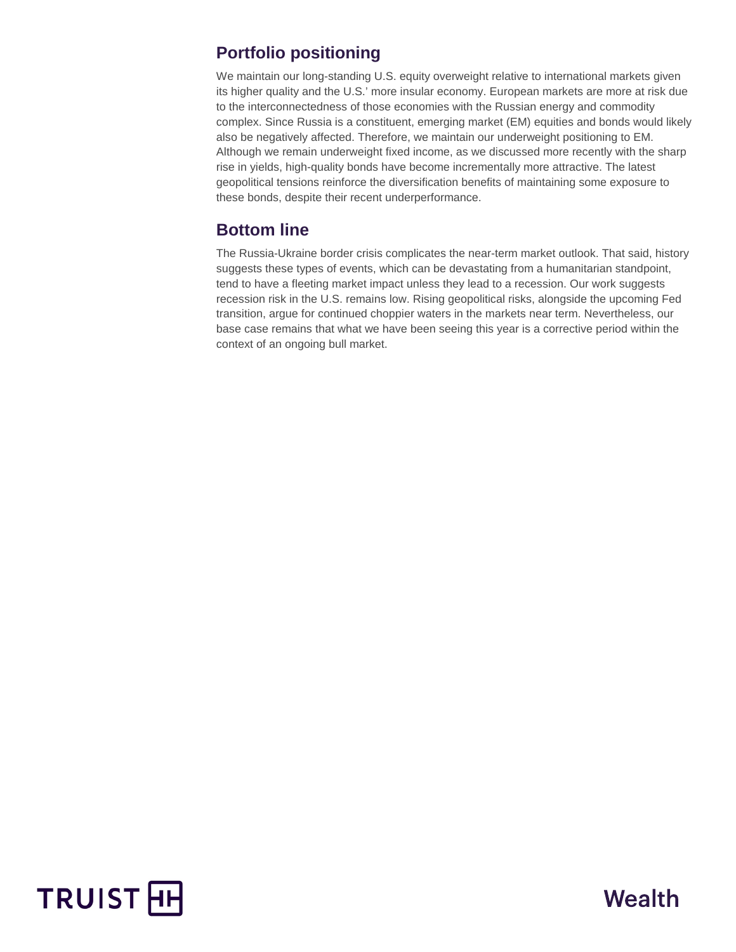#### **Portfolio positioning**

We maintain our long-standing U.S. equity overweight relative to international markets given its higher quality and the U.S.' more insular economy. European markets are more at risk due to the interconnectedness of those economies with the Russian energy and commodity complex. Since Russia is a constituent, emerging market (EM) equities and bonds would likely also be negatively affected. Therefore, we maintain our underweight positioning to EM. Although we remain underweight fixed income, as we discussed more recently with the sharp rise in yields, high-quality bonds have become incrementally more attractive. The latest geopolitical tensions reinforce the diversification benefits of maintaining some exposure to these bonds, despite their recent underperformance.

#### **Bottom line**

The Russia-Ukraine border crisis complicates the near-term market outlook. That said, history suggests these types of events, which can be devastating from a humanitarian standpoint, tend to have a fleeting market impact unless they lead to a recession. Our work suggests recession risk in the U.S. remains low. Rising geopolitical risks, alongside the upcoming Fed transition, argue for continued choppier waters in the markets near term. Nevertheless, our base case remains that what we have been seeing this year is a corrective period within the context of an ongoing bull market.



# Wealth